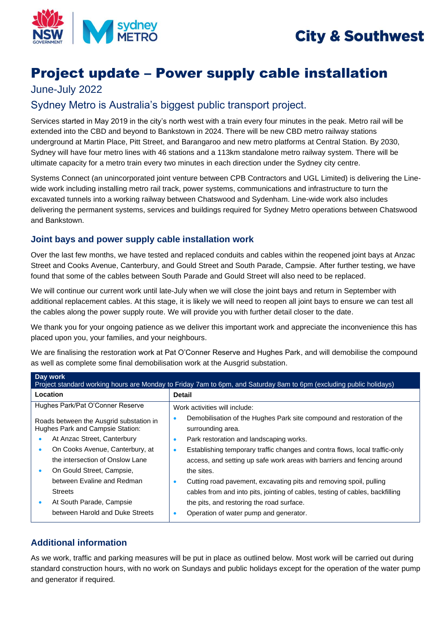



# Project update – Power supply cable installation

## June-July 2022

# Sydney Metro is Australia's biggest public transport project.

Services started in May 2019 in the city's north west with a train every four minutes in the peak. Metro rail will be extended into the CBD and beyond to Bankstown in 2024. There will be new CBD metro railway stations underground at Martin Place, Pitt Street, and Barangaroo and new metro platforms at Central Station. By 2030, Sydney will have four metro lines with 46 stations and a 113km standalone metro railway system. There will be ultimate capacity for a metro train every two minutes in each direction under the Sydney city centre.

Systems Connect (an unincorporated joint venture between CPB Contractors and UGL Limited) is delivering the Linewide work including installing metro rail track, power systems, communications and infrastructure to turn the excavated tunnels into a working railway between Chatswood and Sydenham. Line-wide work also includes delivering the permanent systems, services and buildings required for Sydney Metro operations between Chatswood and Bankstown.

#### **Joint bays and power supply cable installation work**

Over the last few months, we have tested and replaced conduits and cables within the reopened joint bays at Anzac Street and Cooks Avenue, Canterbury, and Gould Street and South Parade, Campsie. After further testing, we have found that some of the cables between South Parade and Gould Street will also need to be replaced.

We will continue our current work until late-July when we will close the joint bays and return in September with additional replacement cables. At this stage, it is likely we will need to reopen all joint bays to ensure we can test all the cables along the power supply route. We will provide you with further detail closer to the date.

We thank you for your ongoing patience as we deliver this important work and appreciate the inconvenience this has placed upon you, your families, and your neighbours.

We are finalising the restoration work at Pat O'Conner Reserve and Hughes Park, and will demobilise the compound as well as complete some final demobilisation work at the Ausgrid substation.

| Day work<br>Project standard working hours are Monday to Friday 7am to 6pm, and Saturday 8am to 6pm (excluding public holidays) |                                                                                                                                                                                                                                                         |
|---------------------------------------------------------------------------------------------------------------------------------|---------------------------------------------------------------------------------------------------------------------------------------------------------------------------------------------------------------------------------------------------------|
| Location                                                                                                                        | <b>Detail</b>                                                                                                                                                                                                                                           |
| Hughes Park/Pat O'Conner Reserve                                                                                                | Work activities will include:                                                                                                                                                                                                                           |
| Roads between the Ausgrid substation in<br>Hughes Park and Campsie Station:<br>At Anzac Street, Canterbury                      | Demobilisation of the Hughes Park site compound and restoration of the<br>surrounding area.<br>Park restoration and landscaping works.<br>$\bullet$                                                                                                     |
| On Cooks Avenue, Canterbury, at<br>٠<br>the intersection of Onslow Lane<br>On Gould Street, Campsie,                            | Establishing temporary traffic changes and contra flows, local traffic-only<br>$\bullet$<br>access, and setting up safe work areas with barriers and fencing around<br>the sites.                                                                       |
| between Evaline and Redman<br><b>Streets</b><br>At South Parade, Campsie<br>between Harold and Duke Streets                     | Cutting road pavement, excavating pits and removing spoil, pulling<br>$\bullet$<br>cables from and into pits, jointing of cables, testing of cables, backfilling<br>the pits, and restoring the road surface.<br>Operation of water pump and generator. |

### **Additional information**

As we work, traffic and parking measures will be put in place as outlined below. Most work will be carried out during standard construction hours, with no work on Sundays and public holidays except for the operation of the water pump and generator if required.